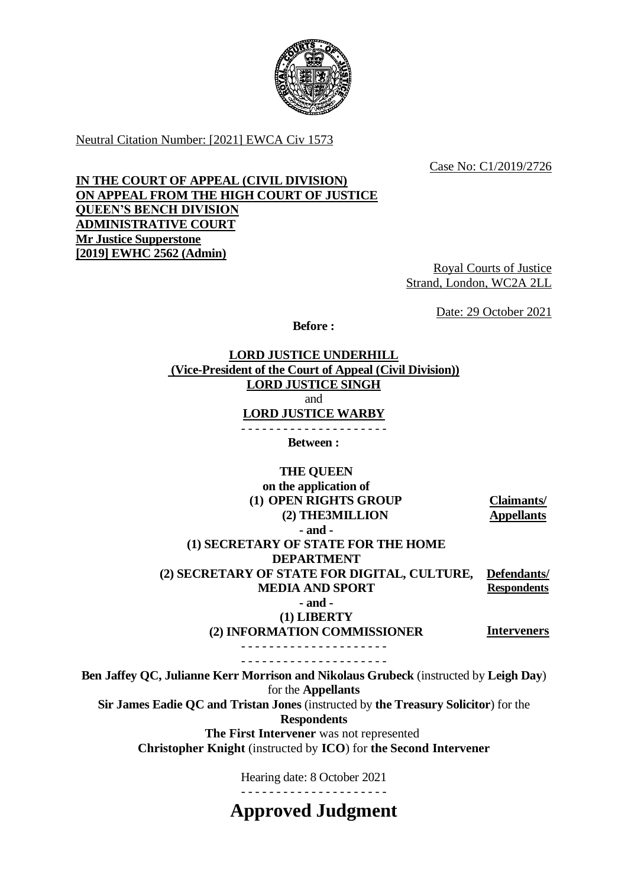

Neutral Citation Number: [2021] EWCA Civ 1573

Case No: C1/2019/2726

## **IN THE COURT OF APPEAL (CIVIL DIVISION) ON APPEAL FROM THE HIGH COURT OF JUSTICE QUEEN'S BENCH DIVISION ADMINISTRATIVE COURT Mr Justice Supperstone [2019] EWHC 2562 (Admin)**

Royal Courts of Justice Strand, London, WC2A 2LL

Date: 29 October 2021

**Before :**

**LORD JUSTICE UNDERHILL (Vice-President of the Court of Appeal (Civil Division)) LORD JUSTICE SINGH** and **LORD JUSTICE WARBY** - - - - - - - - - - - - - - - - - - - - -

**Between :**

**THE QUEEN on the application of (1) OPEN RIGHTS GROUP (2) THE3MILLION**

**- and -**

**Claimants/ Appellants**

**(1) SECRETARY OF STATE FOR THE HOME DEPARTMENT (2) SECRETARY OF STATE FOR DIGITAL, CULTURE,** 

**MEDIA AND SPORT**

**Defendants/ Respondents**

**- and -**

**(1) LIBERTY**

**(2) INFORMATION COMMISSIONER**

**Interveners**

- - - - - - - - - - - - - - - - - - - - - - - - - - - - - - - - - - - - - - - - - -

**Ben Jaffey QC, Julianne Kerr Morrison and Nikolaus Grubeck** (instructed by **Leigh Day**) for the **Appellants**

**Sir James Eadie QC and Tristan Jones** (instructed by **the Treasury Solicitor**) for the

**Respondents**

**The First Intervener** was not represented

**Christopher Knight** (instructed by **ICO**) for **the Second Intervener**

Hearing date: 8 October 2021

- - - - - - - - - - - - - - - - - - - - -

**Approved Judgment**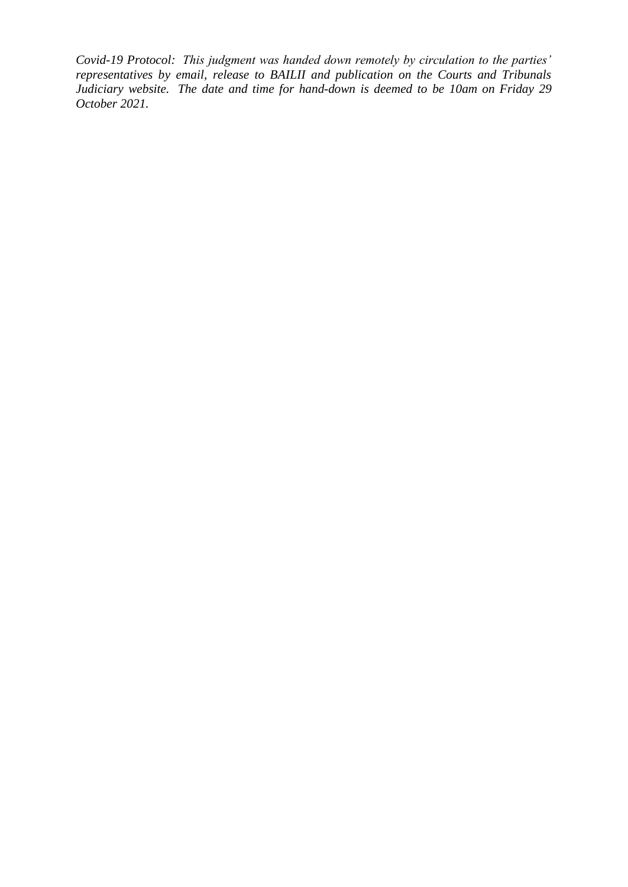*Covid-19 Protocol: This judgment was handed down remotely by circulation to the parties' representatives by email, release to BAILII and publication on the Courts and Tribunals Judiciary website. The date and time for hand-down is deemed to be 10am on Friday 29 October 2021.*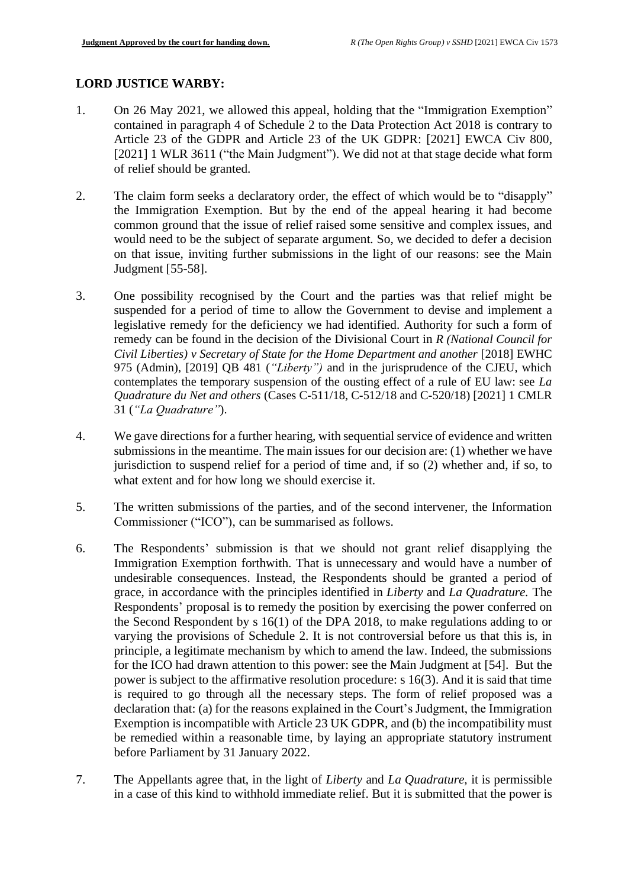# **LORD JUSTICE WARBY:**

- 1. On 26 May 2021, we allowed this appeal, holding that the "Immigration Exemption" contained in paragraph 4 of Schedule 2 to the Data Protection Act 2018 is contrary to Article 23 of the GDPR and Article 23 of the UK GDPR: [2021] EWCA Civ 800, [2021] 1 WLR 3611 ("the Main Judgment"). We did not at that stage decide what form of relief should be granted.
- 2. The claim form seeks a declaratory order, the effect of which would be to "disapply" the Immigration Exemption. But by the end of the appeal hearing it had become common ground that the issue of relief raised some sensitive and complex issues, and would need to be the subject of separate argument. So, we decided to defer a decision on that issue, inviting further submissions in the light of our reasons: see the Main Judgment [55-58].
- 3. One possibility recognised by the Court and the parties was that relief might be suspended for a period of time to allow the Government to devise and implement a legislative remedy for the deficiency we had identified. Authority for such a form of remedy can be found in the decision of the Divisional Court in *R (National Council for Civil Liberties) v Secretary of State for the Home Department and another* [2018] EWHC 975 (Admin), [2019] QB 481 (*"Liberty")* and in the jurisprudence of the CJEU, which contemplates the temporary suspension of the ousting effect of a rule of EU law: see *La Quadrature du Net and others* (Cases C-511/18, C-512/18 and C-520/18) [2021] 1 CMLR 31 (*"La Quadrature"*).
- 4. We gave directions for a further hearing, with sequential service of evidence and written submissions in the meantime. The main issues for our decision are: (1) whether we have jurisdiction to suspend relief for a period of time and, if so (2) whether and, if so, to what extent and for how long we should exercise it.
- 5. The written submissions of the parties, and of the second intervener, the Information Commissioner ("ICO"), can be summarised as follows.
- 6. The Respondents' submission is that we should not grant relief disapplying the Immigration Exemption forthwith. That is unnecessary and would have a number of undesirable consequences. Instead, the Respondents should be granted a period of grace, in accordance with the principles identified in *Liberty* and *La Quadrature.* The Respondents' proposal is to remedy the position by exercising the power conferred on the Second Respondent by s 16(1) of the DPA 2018, to make regulations adding to or varying the provisions of Schedule 2. It is not controversial before us that this is, in principle, a legitimate mechanism by which to amend the law. Indeed, the submissions for the ICO had drawn attention to this power: see the Main Judgment at [54]. But the power is subject to the affirmative resolution procedure: s 16(3). And it is said that time is required to go through all the necessary steps. The form of relief proposed was a declaration that: (a) for the reasons explained in the Court's Judgment, the Immigration Exemption is incompatible with Article 23 UK GDPR, and (b) the incompatibility must be remedied within a reasonable time, by laying an appropriate statutory instrument before Parliament by 31 January 2022.
- 7. The Appellants agree that, in the light of *Liberty* and *La Quadrature,* it is permissible in a case of this kind to withhold immediate relief. But it is submitted that the power is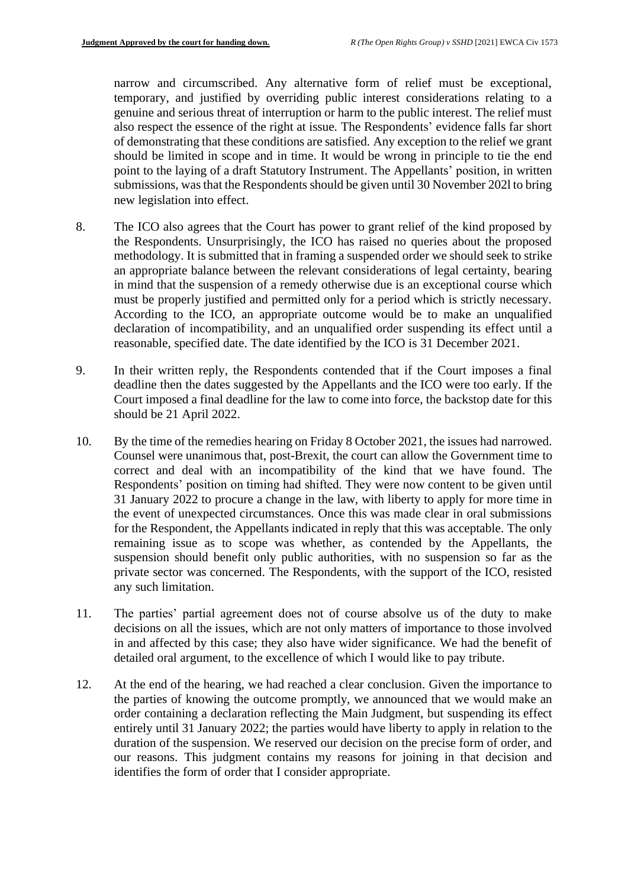narrow and circumscribed. Any alternative form of relief must be exceptional, temporary, and justified by overriding public interest considerations relating to a genuine and serious threat of interruption or harm to the public interest. The relief must also respect the essence of the right at issue. The Respondents' evidence falls far short of demonstrating that these conditions are satisfied. Any exception to the relief we grant should be limited in scope and in time. It would be wrong in principle to tie the end point to the laying of a draft Statutory Instrument. The Appellants' position, in written submissions, was that the Respondents should be given until 30 November 202l to bring new legislation into effect.

- 8. The ICO also agrees that the Court has power to grant relief of the kind proposed by the Respondents. Unsurprisingly, the ICO has raised no queries about the proposed methodology. It is submitted that in framing a suspended order we should seek to strike an appropriate balance between the relevant considerations of legal certainty, bearing in mind that the suspension of a remedy otherwise due is an exceptional course which must be properly justified and permitted only for a period which is strictly necessary. According to the ICO, an appropriate outcome would be to make an unqualified declaration of incompatibility, and an unqualified order suspending its effect until a reasonable, specified date. The date identified by the ICO is 31 December 2021.
- 9. In their written reply, the Respondents contended that if the Court imposes a final deadline then the dates suggested by the Appellants and the ICO were too early. If the Court imposed a final deadline for the law to come into force, the backstop date for this should be 21 April 2022.
- 10. By the time of the remedies hearing on Friday 8 October 2021, the issues had narrowed. Counsel were unanimous that, post-Brexit, the court can allow the Government time to correct and deal with an incompatibility of the kind that we have found. The Respondents' position on timing had shifted. They were now content to be given until 31 January 2022 to procure a change in the law, with liberty to apply for more time in the event of unexpected circumstances. Once this was made clear in oral submissions for the Respondent, the Appellants indicated in reply that this was acceptable. The only remaining issue as to scope was whether, as contended by the Appellants, the suspension should benefit only public authorities, with no suspension so far as the private sector was concerned. The Respondents, with the support of the ICO, resisted any such limitation.
- 11. The parties' partial agreement does not of course absolve us of the duty to make decisions on all the issues, which are not only matters of importance to those involved in and affected by this case; they also have wider significance. We had the benefit of detailed oral argument, to the excellence of which I would like to pay tribute.
- 12. At the end of the hearing, we had reached a clear conclusion. Given the importance to the parties of knowing the outcome promptly, we announced that we would make an order containing a declaration reflecting the Main Judgment, but suspending its effect entirely until 31 January 2022; the parties would have liberty to apply in relation to the duration of the suspension. We reserved our decision on the precise form of order, and our reasons. This judgment contains my reasons for joining in that decision and identifies the form of order that I consider appropriate.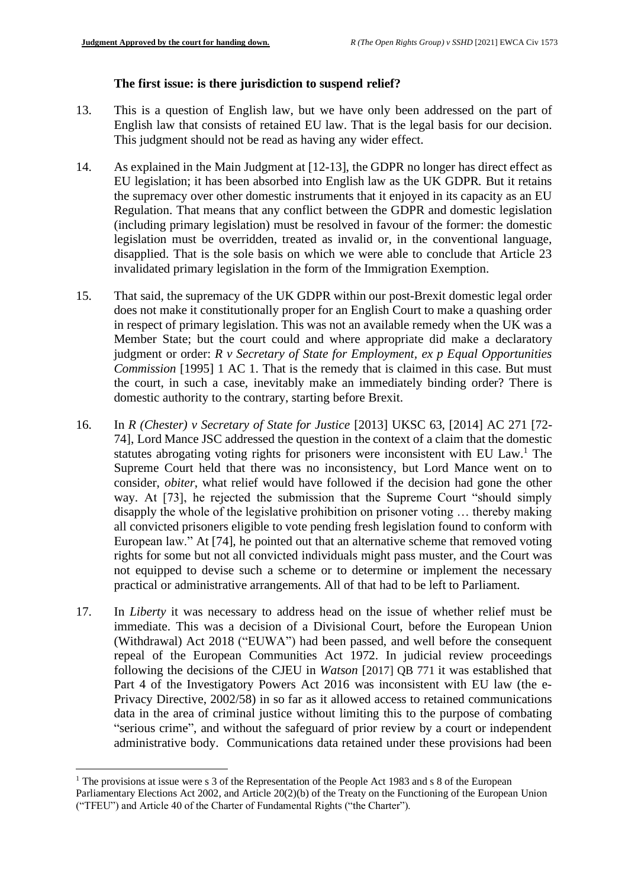## **The first issue: is there jurisdiction to suspend relief?**

- 13. This is a question of English law, but we have only been addressed on the part of English law that consists of retained EU law. That is the legal basis for our decision. This judgment should not be read as having any wider effect.
- 14. As explained in the Main Judgment at [12-13], the GDPR no longer has direct effect as EU legislation; it has been absorbed into English law as the UK GDPR. But it retains the supremacy over other domestic instruments that it enjoyed in its capacity as an EU Regulation. That means that any conflict between the GDPR and domestic legislation (including primary legislation) must be resolved in favour of the former: the domestic legislation must be overridden, treated as invalid or, in the conventional language, disapplied. That is the sole basis on which we were able to conclude that Article 23 invalidated primary legislation in the form of the Immigration Exemption.
- 15. That said, the supremacy of the UK GDPR within our post-Brexit domestic legal order does not make it constitutionally proper for an English Court to make a quashing order in respect of primary legislation. This was not an available remedy when the UK was a Member State; but the court could and where appropriate did make a declaratory judgment or order: *R v Secretary of State for Employment, ex p Equal Opportunities Commission* [1995] 1 AC 1. That is the remedy that is claimed in this case. But must the court, in such a case, inevitably make an immediately binding order? There is domestic authority to the contrary, starting before Brexit.
- 16. In *R (Chester) v Secretary of State for Justice* [2013] UKSC 63, [2014] AC 271 [72- 74], Lord Mance JSC addressed the question in the context of a claim that the domestic statutes abrogating voting rights for prisoners were inconsistent with EU Law. <sup>1</sup> The Supreme Court held that there was no inconsistency, but Lord Mance went on to consider, *obiter*, what relief would have followed if the decision had gone the other way. At [73], he rejected the submission that the Supreme Court "should simply disapply the whole of the legislative prohibition on prisoner voting … thereby making all convicted prisoners eligible to vote pending fresh legislation found to conform with European law." At [74], he pointed out that an alternative scheme that removed voting rights for some but not all convicted individuals might pass muster, and the Court was not equipped to devise such a scheme or to determine or implement the necessary practical or administrative arrangements. All of that had to be left to Parliament.
- 17. In *Liberty* it was necessary to address head on the issue of whether relief must be immediate. This was a decision of a Divisional Court, before the European Union (Withdrawal) Act 2018 ("EUWA") had been passed, and well before the consequent repeal of the European Communities Act 1972. In judicial review proceedings following the decisions of the CJEU in *Watson* [2017] QB 771 it was established that Part 4 of the Investigatory Powers Act 2016 was inconsistent with EU law (the e-Privacy Directive, 2002/58) in so far as it allowed access to retained communications data in the area of criminal justice without limiting this to the purpose of combating "serious crime", and without the safeguard of prior review by a court or independent administrative body. Communications data retained under these provisions had been

<sup>&</sup>lt;sup>1</sup> The provisions at issue were s 3 of the Representation of the People Act 1983 and s 8 of the European

Parliamentary Elections Act 2002, and Article 20(2)(b) of the Treaty on the Functioning of the European Union ("TFEU") and Article 40 of the Charter of Fundamental Rights ("the Charter").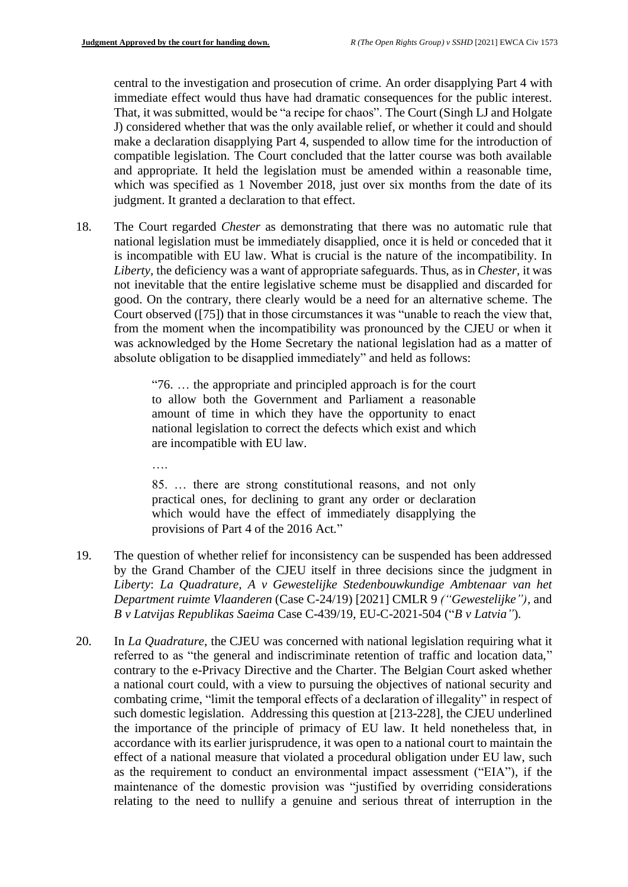central to the investigation and prosecution of crime. An order disapplying Part 4 with immediate effect would thus have had dramatic consequences for the public interest. That, it was submitted, would be "a recipe for chaos". The Court (Singh LJ and Holgate J) considered whether that was the only available relief, or whether it could and should make a declaration disapplying Part 4, suspended to allow time for the introduction of compatible legislation. The Court concluded that the latter course was both available and appropriate. It held the legislation must be amended within a reasonable time, which was specified as 1 November 2018, just over six months from the date of its judgment. It granted a declaration to that effect.

18. The Court regarded *Chester* as demonstrating that there was no automatic rule that national legislation must be immediately disapplied, once it is held or conceded that it is incompatible with EU law. What is crucial is the nature of the incompatibility. In *Liberty,* the deficiency was a want of appropriate safeguards. Thus, as in *Chester,* it was not inevitable that the entire legislative scheme must be disapplied and discarded for good. On the contrary, there clearly would be a need for an alternative scheme. The Court observed ([75]) that in those circumstances it was "unable to reach the view that, from the moment when the incompatibility was pronounced by the CJEU or when it was acknowledged by the Home Secretary the national legislation had as a matter of absolute obligation to be disapplied immediately" and held as follows:

> "76. … the appropriate and principled approach is for the court to allow both the Government and Parliament a reasonable amount of time in which they have the opportunity to enact national legislation to correct the defects which exist and which are incompatible with EU law.

….

85. … there are strong constitutional reasons, and not only practical ones, for declining to grant any order or declaration which would have the effect of immediately disapplying the provisions of Part 4 of the 2016 Act."

- 19. The question of whether relief for inconsistency can be suspended has been addressed by the Grand Chamber of the CJEU itself in three decisions since the judgment in *Liberty*: *La Quadrature, A v Gewestelijke Stedenbouwkundige Ambtenaar van het Department ruimte Vlaanderen* (Case C-24/19) [2021] CMLR 9 *("Gewestelijke"),* and *B v Latvijas Republikas Saeima* Case C-439/19, EU-C-2021-504 ("*B v Latvia"*).
- 20. In *La Quadrature*, the CJEU was concerned with national legislation requiring what it referred to as "the general and indiscriminate retention of traffic and location data," contrary to the e-Privacy Directive and the Charter. The Belgian Court asked whether a national court could, with a view to pursuing the objectives of national security and combating crime, "limit the temporal effects of a declaration of illegality" in respect of such domestic legislation. Addressing this question at [213-228], the CJEU underlined the importance of the principle of primacy of EU law. It held nonetheless that, in accordance with its earlier jurisprudence, it was open to a national court to maintain the effect of a national measure that violated a procedural obligation under EU law, such as the requirement to conduct an environmental impact assessment ("EIA"), if the maintenance of the domestic provision was "justified by overriding considerations relating to the need to nullify a genuine and serious threat of interruption in the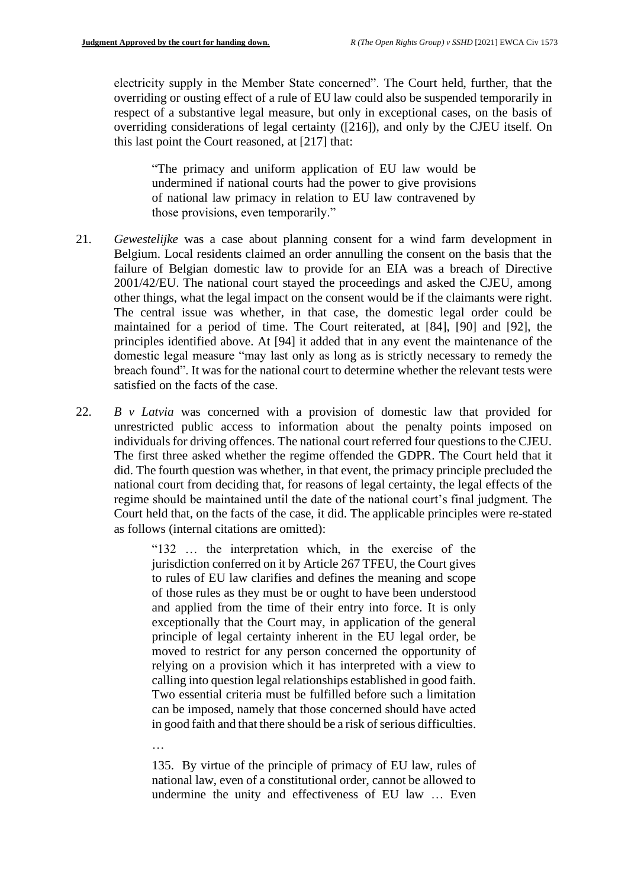…<br>…

electricity supply in the Member State concerned". The Court held, further, that the overriding or ousting effect of a rule of EU law could also be suspended temporarily in respect of a substantive legal measure, but only in exceptional cases, on the basis of overriding considerations of legal certainty ([216]), and only by the CJEU itself. On this last point the Court reasoned, at [217] that:

"The primacy and uniform application of EU law would be undermined if national courts had the power to give provisions of national law primacy in relation to EU law contravened by those provisions, even temporarily."

- 21. *Gewestelijke* was a case about planning consent for a wind farm development in Belgium. Local residents claimed an order annulling the consent on the basis that the failure of Belgian domestic law to provide for an EIA was a breach of Directive 2001/42/EU. The national court stayed the proceedings and asked the CJEU, among other things, what the legal impact on the consent would be if the claimants were right. The central issue was whether, in that case, the domestic legal order could be maintained for a period of time. The Court reiterated, at [84], [90] and [92], the principles identified above. At [94] it added that in any event the maintenance of the domestic legal measure "may last only as long as is strictly necessary to remedy the breach found". It was for the national court to determine whether the relevant tests were satisfied on the facts of the case.
- 22. *B v Latvia* was concerned with a provision of domestic law that provided for unrestricted public access to information about the penalty points imposed on individuals for driving offences. The national court referred four questions to the CJEU. The first three asked whether the regime offended the GDPR. The Court held that it did. The fourth question was whether, in that event, the primacy principle precluded the national court from deciding that, for reasons of legal certainty, the legal effects of the regime should be maintained until the date of the national court's final judgment. The Court held that, on the facts of the case, it did. The applicable principles were re-stated as follows (internal citations are omitted):

"132 … the interpretation which, in the exercise of the jurisdiction conferred on it by Article 267 TFEU, the Court gives to rules of EU law clarifies and defines the meaning and scope of those rules as they must be or ought to have been understood and applied from the time of their entry into force. It is only exceptionally that the Court may, in application of the general principle of legal certainty inherent in the EU legal order, be moved to restrict for any person concerned the opportunity of relying on a provision which it has interpreted with a view to calling into question legal relationships established in good faith. Two essential criteria must be fulfilled before such a limitation can be imposed, namely that those concerned should have acted in good faith and that there should be a risk of serious difficulties.

135. By virtue of the principle of primacy of EU law, rules of national law, even of a constitutional order, cannot be allowed to undermine the unity and effectiveness of EU law … Even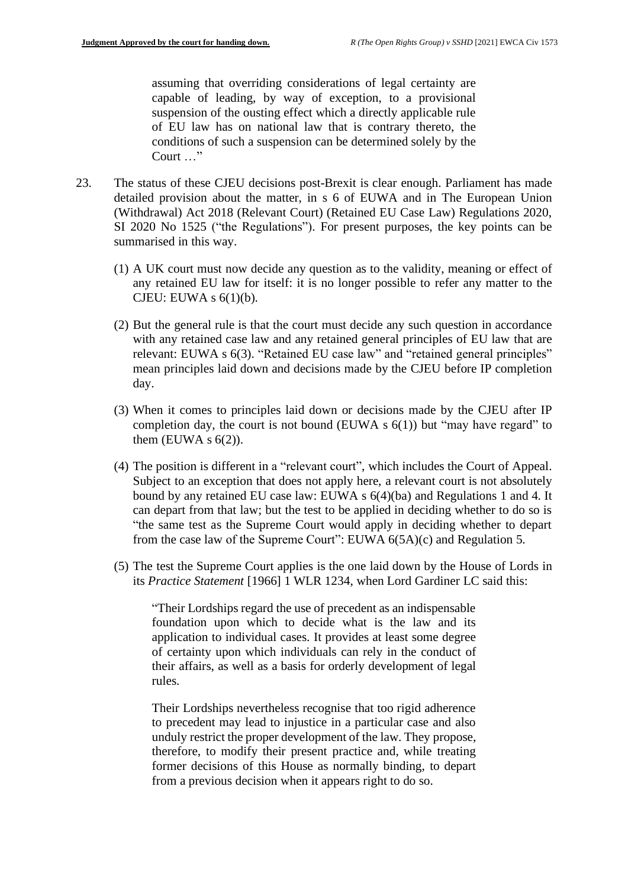assuming that overriding considerations of legal certainty are capable of leading, by way of exception, to a provisional suspension of the ousting effect which a directly applicable rule of EU law has on national law that is contrary thereto, the conditions of such a suspension can be determined solely by the Court …"

- 23. The status of these CJEU decisions post-Brexit is clear enough. Parliament has made detailed provision about the matter, in s 6 of EUWA and in The European Union (Withdrawal) Act 2018 (Relevant Court) (Retained EU Case Law) Regulations 2020, SI 2020 No 1525 ("the Regulations"). For present purposes, the key points can be summarised in this way.
	- (1) A UK court must now decide any question as to the validity, meaning or effect of any retained EU law for itself: it is no longer possible to refer any matter to the CJEU: EUWA s  $6(1)(b)$ .
	- (2) But the general rule is that the court must decide any such question in accordance with any retained case law and any retained general principles of EU law that are relevant: EUWA s 6(3). "Retained EU case law" and "retained general principles" mean principles laid down and decisions made by the CJEU before IP completion day.
	- (3) When it comes to principles laid down or decisions made by the CJEU after IP completion day, the court is not bound (EUWA  $s$  6(1)) but "may have regard" to them (EUWA  $s$  6(2)).
	- (4) The position is different in a "relevant court", which includes the Court of Appeal. Subject to an exception that does not apply here, a relevant court is not absolutely bound by any retained EU case law: EUWA s 6(4)(ba) and Regulations 1 and 4. It can depart from that law; but the test to be applied in deciding whether to do so is "the same test as the Supreme Court would apply in deciding whether to depart from the case law of the Supreme Court": EUWA 6(5A)(c) and Regulation 5.
	- (5) The test the Supreme Court applies is the one laid down by the House of Lords in its *Practice Statement* [1966] 1 WLR 1234, when Lord Gardiner LC said this:

"Their Lordships regard the use of precedent as an indispensable foundation upon which to decide what is the law and its application to individual cases. It provides at least some degree of certainty upon which individuals can rely in the conduct of their affairs, as well as a basis for orderly development of legal rules.

Their Lordships nevertheless recognise that too rigid adherence to precedent may lead to injustice in a particular case and also unduly restrict the proper development of the law. They propose, therefore, to modify their present practice and, while treating former decisions of this House as normally binding, to depart from a previous decision when it appears right to do so.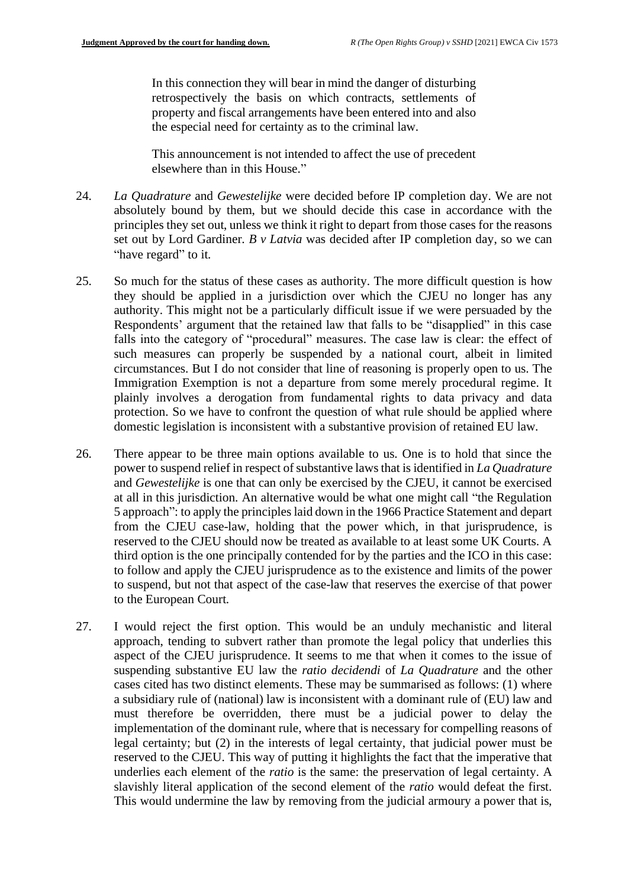In this connection they will bear in mind the danger of disturbing retrospectively the basis on which contracts, settlements of property and fiscal arrangements have been entered into and also the especial need for certainty as to the criminal law.

This announcement is not intended to affect the use of precedent elsewhere than in this House."

- 24. *La Quadrature* and *Gewestelijke* were decided before IP completion day. We are not absolutely bound by them, but we should decide this case in accordance with the principles they set out, unless we think it right to depart from those cases for the reasons set out by Lord Gardiner. *B v Latvia* was decided after IP completion day, so we can "have regard" to it.
- 25. So much for the status of these cases as authority. The more difficult question is how they should be applied in a jurisdiction over which the CJEU no longer has any authority. This might not be a particularly difficult issue if we were persuaded by the Respondents' argument that the retained law that falls to be "disapplied" in this case falls into the category of "procedural" measures. The case law is clear: the effect of such measures can properly be suspended by a national court, albeit in limited circumstances. But I do not consider that line of reasoning is properly open to us. The Immigration Exemption is not a departure from some merely procedural regime. It plainly involves a derogation from fundamental rights to data privacy and data protection. So we have to confront the question of what rule should be applied where domestic legislation is inconsistent with a substantive provision of retained EU law.
- 26. There appear to be three main options available to us. One is to hold that since the power to suspend relief in respect of substantive laws that is identified in *La Quadrature*  and *Gewestelijke* is one that can only be exercised by the CJEU, it cannot be exercised at all in this jurisdiction. An alternative would be what one might call "the Regulation 5 approach": to apply the principles laid down in the 1966 Practice Statement and depart from the CJEU case-law, holding that the power which, in that jurisprudence, is reserved to the CJEU should now be treated as available to at least some UK Courts. A third option is the one principally contended for by the parties and the ICO in this case: to follow and apply the CJEU jurisprudence as to the existence and limits of the power to suspend, but not that aspect of the case-law that reserves the exercise of that power to the European Court.
- 27. I would reject the first option. This would be an unduly mechanistic and literal approach, tending to subvert rather than promote the legal policy that underlies this aspect of the CJEU jurisprudence. It seems to me that when it comes to the issue of suspending substantive EU law the *ratio decidendi* of *La Quadrature* and the other cases cited has two distinct elements. These may be summarised as follows: (1) where a subsidiary rule of (national) law is inconsistent with a dominant rule of (EU) law and must therefore be overridden, there must be a judicial power to delay the implementation of the dominant rule, where that is necessary for compelling reasons of legal certainty; but (2) in the interests of legal certainty, that judicial power must be reserved to the CJEU. This way of putting it highlights the fact that the imperative that underlies each element of the *ratio* is the same: the preservation of legal certainty. A slavishly literal application of the second element of the *ratio* would defeat the first. This would undermine the law by removing from the judicial armoury a power that is,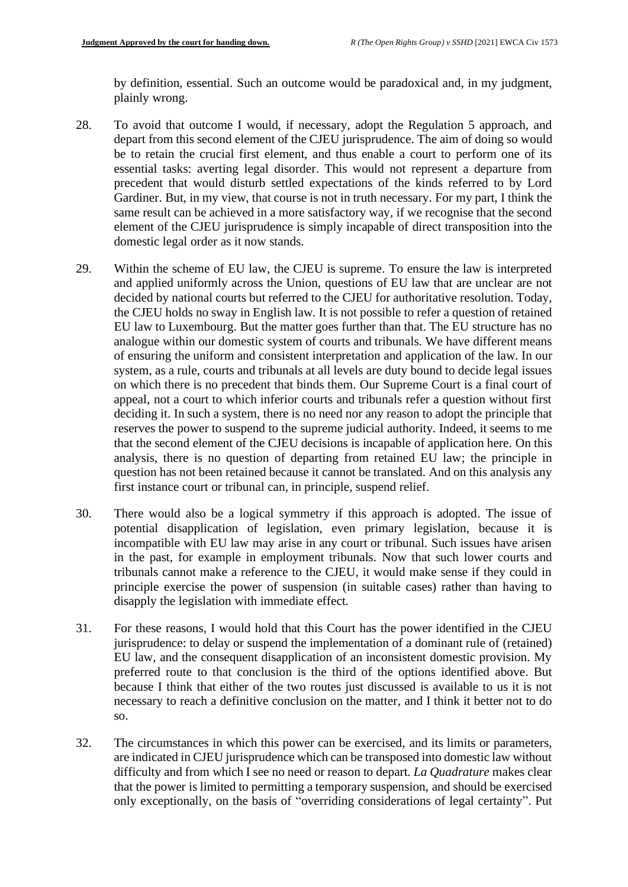by definition, essential. Such an outcome would be paradoxical and, in my judgment, plainly wrong.

- 28. To avoid that outcome I would, if necessary, adopt the Regulation 5 approach, and depart from this second element of the CJEU jurisprudence. The aim of doing so would be to retain the crucial first element, and thus enable a court to perform one of its essential tasks: averting legal disorder. This would not represent a departure from precedent that would disturb settled expectations of the kinds referred to by Lord Gardiner. But, in my view, that course is not in truth necessary. For my part, I think the same result can be achieved in a more satisfactory way, if we recognise that the second element of the CJEU jurisprudence is simply incapable of direct transposition into the domestic legal order as it now stands.
- 29. Within the scheme of EU law, the CJEU is supreme. To ensure the law is interpreted and applied uniformly across the Union, questions of EU law that are unclear are not decided by national courts but referred to the CJEU for authoritative resolution. Today, the CJEU holds no sway in English law. It is not possible to refer a question of retained EU law to Luxembourg. But the matter goes further than that. The EU structure has no analogue within our domestic system of courts and tribunals. We have different means of ensuring the uniform and consistent interpretation and application of the law. In our system, as a rule, courts and tribunals at all levels are duty bound to decide legal issues on which there is no precedent that binds them. Our Supreme Court is a final court of appeal, not a court to which inferior courts and tribunals refer a question without first deciding it. In such a system, there is no need nor any reason to adopt the principle that reserves the power to suspend to the supreme judicial authority. Indeed, it seems to me that the second element of the CJEU decisions is incapable of application here. On this analysis, there is no question of departing from retained EU law; the principle in question has not been retained because it cannot be translated. And on this analysis any first instance court or tribunal can, in principle, suspend relief.
- 30. There would also be a logical symmetry if this approach is adopted. The issue of potential disapplication of legislation, even primary legislation, because it is incompatible with EU law may arise in any court or tribunal. Such issues have arisen in the past, for example in employment tribunals. Now that such lower courts and tribunals cannot make a reference to the CJEU, it would make sense if they could in principle exercise the power of suspension (in suitable cases) rather than having to disapply the legislation with immediate effect.
- 31. For these reasons, I would hold that this Court has the power identified in the CJEU jurisprudence: to delay or suspend the implementation of a dominant rule of (retained) EU law, and the consequent disapplication of an inconsistent domestic provision. My preferred route to that conclusion is the third of the options identified above. But because I think that either of the two routes just discussed is available to us it is not necessary to reach a definitive conclusion on the matter, and I think it better not to do so.
- 32. The circumstances in which this power can be exercised, and its limits or parameters, are indicated in CJEU jurisprudence which can be transposed into domestic law without difficulty and from which I see no need or reason to depart. *La Quadrature* makes clear that the power is limited to permitting a temporary suspension, and should be exercised only exceptionally, on the basis of "overriding considerations of legal certainty". Put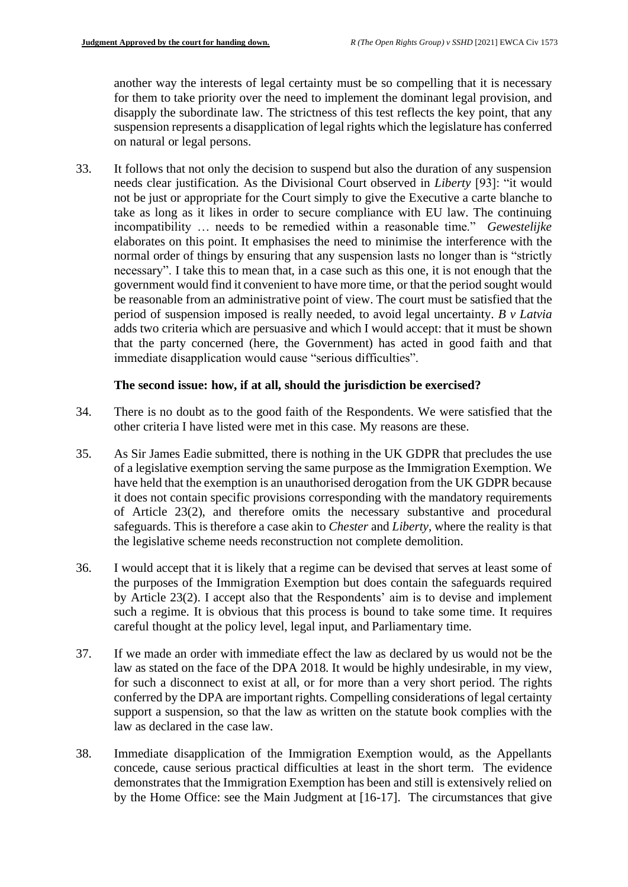another way the interests of legal certainty must be so compelling that it is necessary for them to take priority over the need to implement the dominant legal provision, and disapply the subordinate law. The strictness of this test reflects the key point, that any suspension represents a disapplication of legal rights which the legislature has conferred on natural or legal persons.

33. It follows that not only the decision to suspend but also the duration of any suspension needs clear justification. As the Divisional Court observed in *Liberty* [93]: "it would not be just or appropriate for the Court simply to give the Executive a carte blanche to take as long as it likes in order to secure compliance with EU law. The continuing incompatibility … needs to be remedied within a reasonable time." *Gewestelijke*  elaborates on this point. It emphasises the need to minimise the interference with the normal order of things by ensuring that any suspension lasts no longer than is "strictly necessary". I take this to mean that, in a case such as this one, it is not enough that the government would find it convenient to have more time, or that the period sought would be reasonable from an administrative point of view. The court must be satisfied that the period of suspension imposed is really needed, to avoid legal uncertainty. *B v Latvia*  adds two criteria which are persuasive and which I would accept: that it must be shown that the party concerned (here, the Government) has acted in good faith and that immediate disapplication would cause "serious difficulties".

#### **The second issue: how, if at all, should the jurisdiction be exercised?**

- 34. There is no doubt as to the good faith of the Respondents. We were satisfied that the other criteria I have listed were met in this case. My reasons are these.
- 35. As Sir James Eadie submitted, there is nothing in the UK GDPR that precludes the use of a legislative exemption serving the same purpose as the Immigration Exemption. We have held that the exemption is an unauthorised derogation from the UK GDPR because it does not contain specific provisions corresponding with the mandatory requirements of Article 23(2), and therefore omits the necessary substantive and procedural safeguards. This is therefore a case akin to *Chester* and *Liberty,* where the reality is that the legislative scheme needs reconstruction not complete demolition.
- 36. I would accept that it is likely that a regime can be devised that serves at least some of the purposes of the Immigration Exemption but does contain the safeguards required by Article 23(2). I accept also that the Respondents' aim is to devise and implement such a regime. It is obvious that this process is bound to take some time. It requires careful thought at the policy level, legal input, and Parliamentary time.
- 37. If we made an order with immediate effect the law as declared by us would not be the law as stated on the face of the DPA 2018. It would be highly undesirable, in my view, for such a disconnect to exist at all, or for more than a very short period. The rights conferred by the DPA are important rights. Compelling considerations of legal certainty support a suspension, so that the law as written on the statute book complies with the law as declared in the case law.
- 38. Immediate disapplication of the Immigration Exemption would, as the Appellants concede, cause serious practical difficulties at least in the short term. The evidence demonstrates that the Immigration Exemption has been and still is extensively relied on by the Home Office: see the Main Judgment at [16-17]. The circumstances that give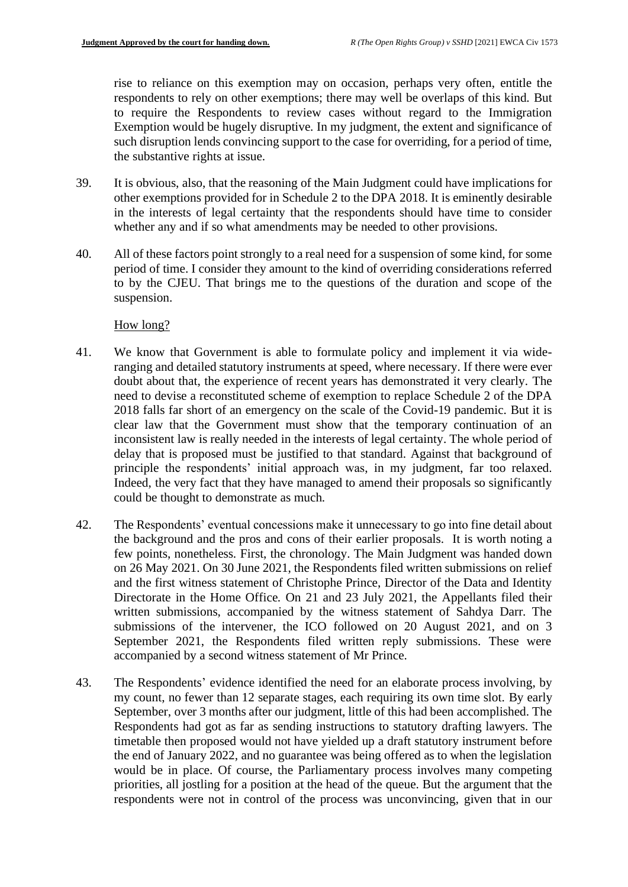rise to reliance on this exemption may on occasion, perhaps very often, entitle the respondents to rely on other exemptions; there may well be overlaps of this kind. But to require the Respondents to review cases without regard to the Immigration Exemption would be hugely disruptive. In my judgment, the extent and significance of such disruption lends convincing support to the case for overriding, for a period of time, the substantive rights at issue.

- 39. It is obvious, also, that the reasoning of the Main Judgment could have implications for other exemptions provided for in Schedule 2 to the DPA 2018. It is eminently desirable in the interests of legal certainty that the respondents should have time to consider whether any and if so what amendments may be needed to other provisions.
- 40. All of these factors point strongly to a real need for a suspension of some kind, for some period of time. I consider they amount to the kind of overriding considerations referred to by the CJEU. That brings me to the questions of the duration and scope of the suspension.

### How long?

- 41. We know that Government is able to formulate policy and implement it via wideranging and detailed statutory instruments at speed, where necessary. If there were ever doubt about that, the experience of recent years has demonstrated it very clearly. The need to devise a reconstituted scheme of exemption to replace Schedule 2 of the DPA 2018 falls far short of an emergency on the scale of the Covid-19 pandemic. But it is clear law that the Government must show that the temporary continuation of an inconsistent law is really needed in the interests of legal certainty. The whole period of delay that is proposed must be justified to that standard. Against that background of principle the respondents' initial approach was, in my judgment, far too relaxed. Indeed, the very fact that they have managed to amend their proposals so significantly could be thought to demonstrate as much.
- 42. The Respondents' eventual concessions make it unnecessary to go into fine detail about the background and the pros and cons of their earlier proposals. It is worth noting a few points, nonetheless. First, the chronology. The Main Judgment was handed down on 26 May 2021. On 30 June 2021, the Respondents filed written submissions on relief and the first witness statement of Christophe Prince, Director of the Data and Identity Directorate in the Home Office. On 21 and 23 July 2021, the Appellants filed their written submissions, accompanied by the witness statement of Sahdya Darr. The submissions of the intervener, the ICO followed on 20 August 2021, and on 3 September 2021, the Respondents filed written reply submissions. These were accompanied by a second witness statement of Mr Prince.
- 43. The Respondents' evidence identified the need for an elaborate process involving, by my count, no fewer than 12 separate stages, each requiring its own time slot. By early September, over 3 months after our judgment, little of this had been accomplished. The Respondents had got as far as sending instructions to statutory drafting lawyers. The timetable then proposed would not have yielded up a draft statutory instrument before the end of January 2022, and no guarantee was being offered as to when the legislation would be in place. Of course, the Parliamentary process involves many competing priorities, all jostling for a position at the head of the queue. But the argument that the respondents were not in control of the process was unconvincing, given that in our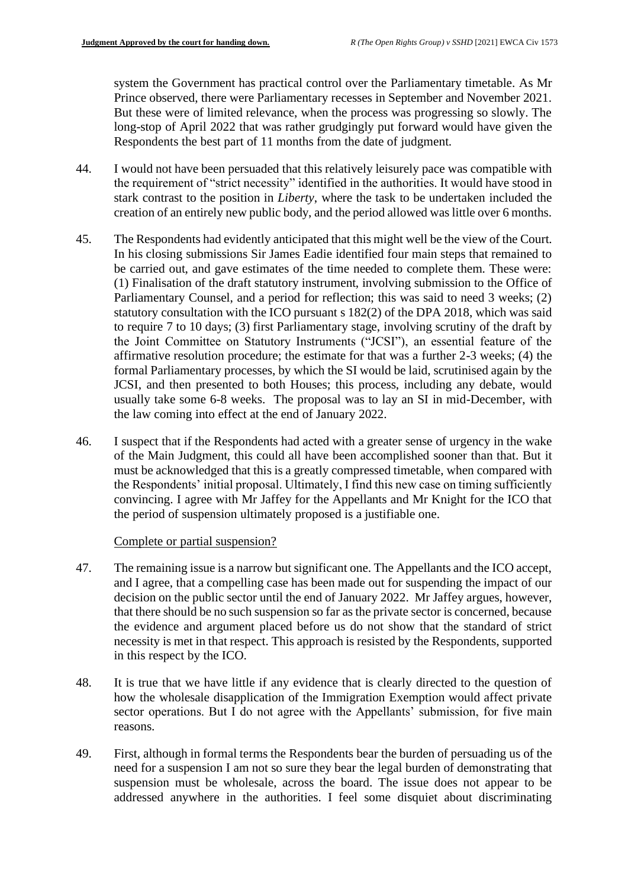system the Government has practical control over the Parliamentary timetable. As Mr Prince observed, there were Parliamentary recesses in September and November 2021. But these were of limited relevance, when the process was progressing so slowly. The long-stop of April 2022 that was rather grudgingly put forward would have given the Respondents the best part of 11 months from the date of judgment.

- 44. I would not have been persuaded that this relatively leisurely pace was compatible with the requirement of "strict necessity" identified in the authorities. It would have stood in stark contrast to the position in *Liberty*, where the task to be undertaken included the creation of an entirely new public body, and the period allowed was little over 6 months.
- 45. The Respondents had evidently anticipated that this might well be the view of the Court. In his closing submissions Sir James Eadie identified four main steps that remained to be carried out, and gave estimates of the time needed to complete them. These were: (1) Finalisation of the draft statutory instrument, involving submission to the Office of Parliamentary Counsel, and a period for reflection; this was said to need 3 weeks; (2) statutory consultation with the ICO pursuant s 182(2) of the DPA 2018, which was said to require 7 to 10 days; (3) first Parliamentary stage, involving scrutiny of the draft by the Joint Committee on Statutory Instruments ("JCSI"), an essential feature of the affirmative resolution procedure; the estimate for that was a further 2-3 weeks; (4) the formal Parliamentary processes, by which the SI would be laid, scrutinised again by the JCSI, and then presented to both Houses; this process, including any debate, would usually take some 6-8 weeks. The proposal was to lay an SI in mid-December, with the law coming into effect at the end of January 2022.
- 46. I suspect that if the Respondents had acted with a greater sense of urgency in the wake of the Main Judgment, this could all have been accomplished sooner than that. But it must be acknowledged that this is a greatly compressed timetable, when compared with the Respondents' initial proposal. Ultimately, I find this new case on timing sufficiently convincing. I agree with Mr Jaffey for the Appellants and Mr Knight for the ICO that the period of suspension ultimately proposed is a justifiable one.

#### Complete or partial suspension?

- 47. The remaining issue is a narrow but significant one. The Appellants and the ICO accept, and I agree, that a compelling case has been made out for suspending the impact of our decision on the public sector until the end of January 2022. Mr Jaffey argues, however, that there should be no such suspension so far as the private sector is concerned, because the evidence and argument placed before us do not show that the standard of strict necessity is met in that respect. This approach is resisted by the Respondents, supported in this respect by the ICO.
- 48. It is true that we have little if any evidence that is clearly directed to the question of how the wholesale disapplication of the Immigration Exemption would affect private sector operations. But I do not agree with the Appellants' submission, for five main reasons.
- 49. First, although in formal terms the Respondents bear the burden of persuading us of the need for a suspension I am not so sure they bear the legal burden of demonstrating that suspension must be wholesale, across the board. The issue does not appear to be addressed anywhere in the authorities. I feel some disquiet about discriminating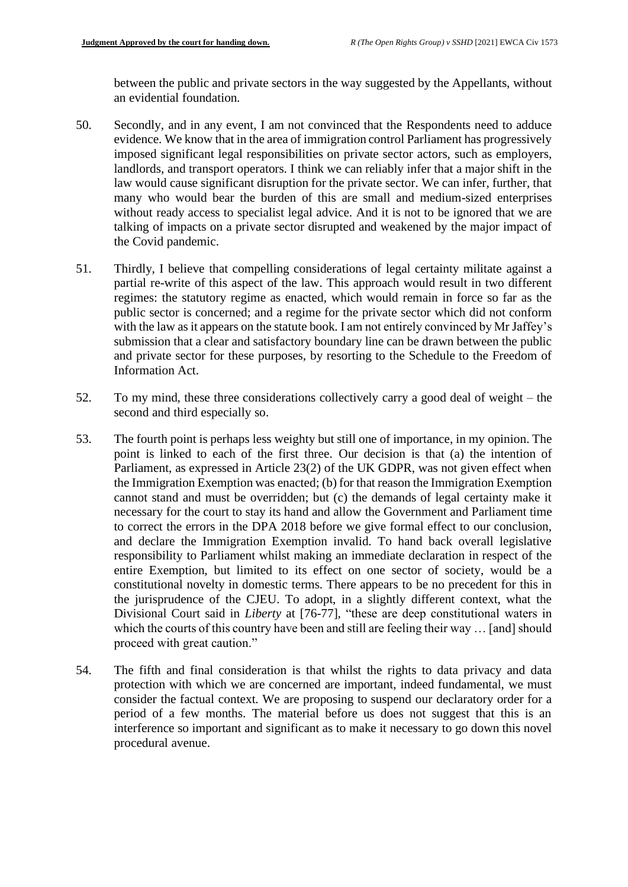between the public and private sectors in the way suggested by the Appellants, without an evidential foundation.

- 50. Secondly, and in any event, I am not convinced that the Respondents need to adduce evidence. We know that in the area of immigration control Parliament has progressively imposed significant legal responsibilities on private sector actors, such as employers, landlords, and transport operators. I think we can reliably infer that a major shift in the law would cause significant disruption for the private sector. We can infer, further, that many who would bear the burden of this are small and medium-sized enterprises without ready access to specialist legal advice. And it is not to be ignored that we are talking of impacts on a private sector disrupted and weakened by the major impact of the Covid pandemic.
- 51. Thirdly, I believe that compelling considerations of legal certainty militate against a partial re-write of this aspect of the law. This approach would result in two different regimes: the statutory regime as enacted, which would remain in force so far as the public sector is concerned; and a regime for the private sector which did not conform with the law as it appears on the statute book. I am not entirely convinced by Mr Jaffey's submission that a clear and satisfactory boundary line can be drawn between the public and private sector for these purposes, by resorting to the Schedule to the Freedom of Information Act.
- 52. To my mind, these three considerations collectively carry a good deal of weight the second and third especially so.
- 53. The fourth point is perhaps less weighty but still one of importance, in my opinion. The point is linked to each of the first three. Our decision is that (a) the intention of Parliament, as expressed in Article 23(2) of the UK GDPR, was not given effect when the Immigration Exemption was enacted; (b) for that reason the Immigration Exemption cannot stand and must be overridden; but (c) the demands of legal certainty make it necessary for the court to stay its hand and allow the Government and Parliament time to correct the errors in the DPA 2018 before we give formal effect to our conclusion, and declare the Immigration Exemption invalid. To hand back overall legislative responsibility to Parliament whilst making an immediate declaration in respect of the entire Exemption, but limited to its effect on one sector of society, would be a constitutional novelty in domestic terms. There appears to be no precedent for this in the jurisprudence of the CJEU. To adopt, in a slightly different context, what the Divisional Court said in *Liberty* at [76-77]*,* "these are deep constitutional waters in which the courts of this country have been and still are feeling their way ... [and] should proceed with great caution."
- 54. The fifth and final consideration is that whilst the rights to data privacy and data protection with which we are concerned are important, indeed fundamental, we must consider the factual context. We are proposing to suspend our declaratory order for a period of a few months. The material before us does not suggest that this is an interference so important and significant as to make it necessary to go down this novel procedural avenue.